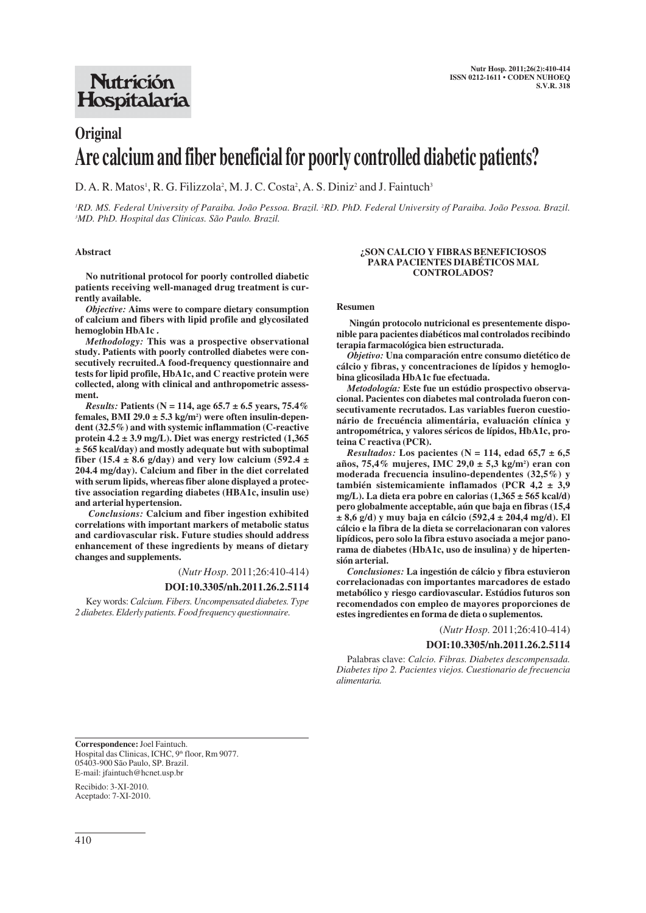## **Nutrición** Hospitalaria

# **Original Are calcium and fiber beneficial for poorly controlled diabetic patients?**

D. A. R. Matos<sup>1</sup>, R. G. Filizzola<sup>2</sup>, M. J. C. Costa<sup>2</sup>, A. S. Diniz<sup>2</sup> and J. Faintuch<sup>3</sup>

'RD. MS. Federal University of Paraiba. João Pessoa. Brazil. <sup>2</sup>RD. PhD. Federal University of Paraiba. João Pessoa. Brazil. *3 MD. PhD. Hospital das Clinicas. São Paulo. Brazil.*

#### **Abstract**

**No nutritional protocol for poorly controlled diabetic patients receiving well-managed drug treatment is currently available.** 

*Objective:* **Aims were to compare dietary consumption of calcium and fibers with lipid profile and glycosilated hemoglobin HbA1c .**

*Methodology:* **This was a prospective observational study. Patients with poorly controlled diabetes were consecutively recruited.A food-frequency questionnaire and tests for lipid profile, HbA1c, and C reactive protein were collected, along with clinical and anthropometric assessment.**

*Results:* **Patients (N = 114, age 65.7 ± 6.5 years, 75.4% females, BMI 29.0 ± 5.3 kg/m2 ) were often insulin-dependent (32.5%) and with systemic inflammation (C-reactive protein 4.2 ± 3.9 mg/L). Diet was energy restricted (1,365 ± 565 kcal/day) and mostly adequate but with suboptimal** fiber (15.4  $\pm$  8.6 g/day) and very low calcium (592.4  $\pm$ **204.4 mg/day). Calcium and fiber in the diet correlated with serum lipids, whereas fiber alone displayed a protective association regarding diabetes (HBA1c, insulin use) and arterial hypertension.** 

*Conclusions:* **Calcium and fiber ingestion exhibited correlations with important markers of metabolic status and cardiovascular risk. Future studies should address enhancement of these ingredients by means of dietary changes and supplements.**

(*Nutr Hosp.* 2011;26:410-414)

## **DOI:10.3305/nh.2011.26.2.5114**

Key words: *Calcium. Fibers. Uncompensated diabetes. Type 2 diabetes. Elderly patients. Food frequency questionnaire.*

#### **¿SON CALCIO Y FIBRAS BENEFICIOSOS PARA PACIENTES DIABÉTICOS MAL CONTROLADOS?**

#### **Resumen**

**Ningún protocolo nutricional es presentemente disponible para pacientes diabéticos mal controlados recibindo terapia farmacológica bien estructurada.**

*Objetivo:* **Una comparación entre consumo dietético de cálcio y fibras, y concentraciones de lípidos y hemoglobina glicosilada HbA1c fue efectuada.**

*Metodología:* **Este fue un estúdio prospectivo observacional. Pacientes con diabetes mal controlada fueron consecutivamente recrutados. Las variables fueron cuestionário de frecuéncia alimentária, evaluación clínica y antropométrica, y valores séricos de lípidos, HbA1c, proteina C reactiva (PCR).**

*Resultados:* Los pacientes (N = 114, edad 65,7  $\pm$  6,5 **años, 75,4% mujeres, IMC 29,0 ± 5,3 kg/m2 ) eran con moderada frecuencia insulino-dependentes (32,5%) y también sistemicamiente inflamados (PCR 4,2 ± 3,9 mg/L). La dieta era pobre en calorias (1,365 ± 565 kcal/d) pero globalmente acceptable, aún que baja en fibras (15,4 ± 8,6 g/d) y muy baja en cálcio (592,4 ± 204,4 mg/d). El cálcio e la fibra de la dieta se correlacionaran con valores lipídicos, pero solo la fibra estuvo asociada a mejor panorama de diabetes (HbA1c, uso de insulina) y de hipertensión arterial.**

*Conclusiones:* **La ingestión de cálcio y fibra estuvieron correlacionadas con importantes marcadores de estado metabólico y riesgo cardiovascular. Estúdios futuros son recomendados con empleo de mayores proporciones de estes ingredientes en forma de dieta o suplementos.**

(*Nutr Hosp.* 2011;26:410-414)

#### **DOI:10.3305/nh.2011.26.2.5114**

Palabras clave: *Calcio. Fibras. Diabetes descompensada. Diabetes tipo 2. Pacientes viejos. Cuestionario de frecuencia alimentaria.*

**Correspondence:**Joel Faintuch. Hospital das Clinicas, ICHC, 9th floor, Rm 9077. 05403-900 São Paulo, SP. Brazil. E-mail: jfaintuch@hcnet.usp.br

Recibido: 3-XI-2010. Aceptado: 7-XI-2010.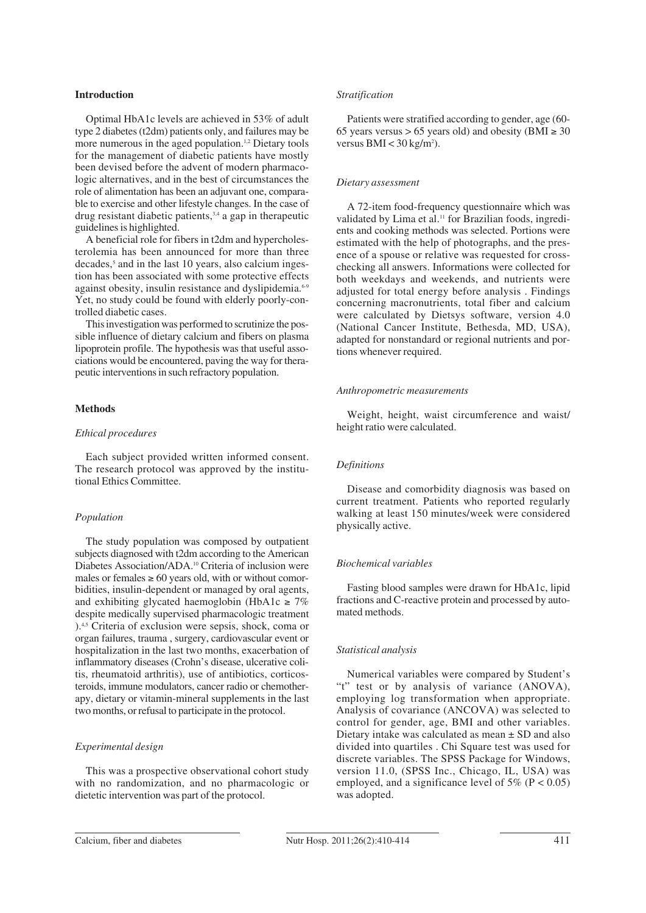#### **Introduction**

Optimal HbA1c levels are achieved in 53% of adult type 2 diabetes (t2dm) patients only, and failures may be more numerous in the aged population.<sup>1,2</sup> Dietary tools for the management of diabetic patients have mostly been devised before the advent of modern pharmacologic alternatives, and in the best of circumstances the role of alimentation has been an adjuvant one, comparable to exercise and other lifestyle changes. In the case of drug resistant diabetic patients,  $3,4$  a gap in the rapeutic guidelines is highlighted.

A beneficial role for fibers in t2dm and hypercholesterolemia has been announced for more than three  $decades$ ,<sup>5</sup> and in the last 10 years, also calcium ingestion has been associated with some protective effects against obesity, insulin resistance and dyslipidemia.6-9 Yet, no study could be found with elderly poorly-controlled diabetic cases.

This investigation was performed to scrutinize the possible influence of dietary calcium and fibers on plasma lipoprotein profile. The hypothesis was that useful associations would be encountered, paving the way for therapeutic interventions in such refractory population.

## **Methods**

#### *Ethical procedures*

Each subject provided written informed consent. The research protocol was approved by the institutional Ethics Committee.

## *Population*

The study population was composed by outpatient subjects diagnosed with t2dm according to the American Diabetes Association/ADA.10 Criteria of inclusion were males or females  $\geq 60$  years old, with or without comorbidities, insulin-dependent or managed by oral agents, and exhibiting glycated haemoglobin (HbA1c  $\geq 7\%$ ) despite medically supervised pharmacologic treatment ).4,5 Criteria of exclusion were sepsis, shock, coma or organ failures, trauma , surgery, cardiovascular event or hospitalization in the last two months, exacerbation of inflammatory diseases (Crohn's disease, ulcerative colitis, rheumatoid arthritis), use of antibiotics, corticosteroids, immune modulators, cancer radio or chemotherapy, dietary or vitamin-mineral supplements in the last two months, or refusal to participate in the protocol.

#### *Experimental design*

This was a prospective observational cohort study with no randomization, and no pharmacologic or dietetic intervention was part of the protocol.

#### *Stratification*

Patients were stratified according to gender, age (60- 65 years versus > 65 years old) and obesity (BMI  $\geq 30$ versus  $BMI < 30$  kg/m<sup>2</sup>).

## *Dietary assessment*

A 72-item food-frequency questionnaire which was validated by Lima et al.<sup>11</sup> for Brazilian foods, ingredients and cooking methods was selected. Portions were estimated with the help of photographs, and the presence of a spouse or relative was requested for crosschecking all answers. Informations were collected for both weekdays and weekends, and nutrients were adjusted for total energy before analysis . Findings concerning macronutrients, total fiber and calcium were calculated by Dietsys software, version 4.0 (National Cancer Institute, Bethesda, MD, USA), adapted for nonstandard or regional nutrients and portions whenever required.

#### *Anthropometric measurements*

Weight, height, waist circumference and waist/ height ratio were calculated.

#### *Definitions*

Disease and comorbidity diagnosis was based on current treatment. Patients who reported regularly walking at least 150 minutes/week were considered physically active.

#### *Biochemical variables*

Fasting blood samples were drawn for HbA1c, lipid fractions and C-reactive protein and processed by automated methods.

#### *Statistical analysis*

Numerical variables were compared by Student's "t" test or by analysis of variance (ANOVA), employing log transformation when appropriate. Analysis of covariance (ANCOVA) was selected to control for gender, age, BMI and other variables. Dietary intake was calculated as mean ± SD and also divided into quartiles . Chi Square test was used for discrete variables. The SPSS Package for Windows, version 11.0, (SPSS Inc., Chicago, IL, USA) was employed, and a significance level of  $5\%$  (P < 0.05) was adopted.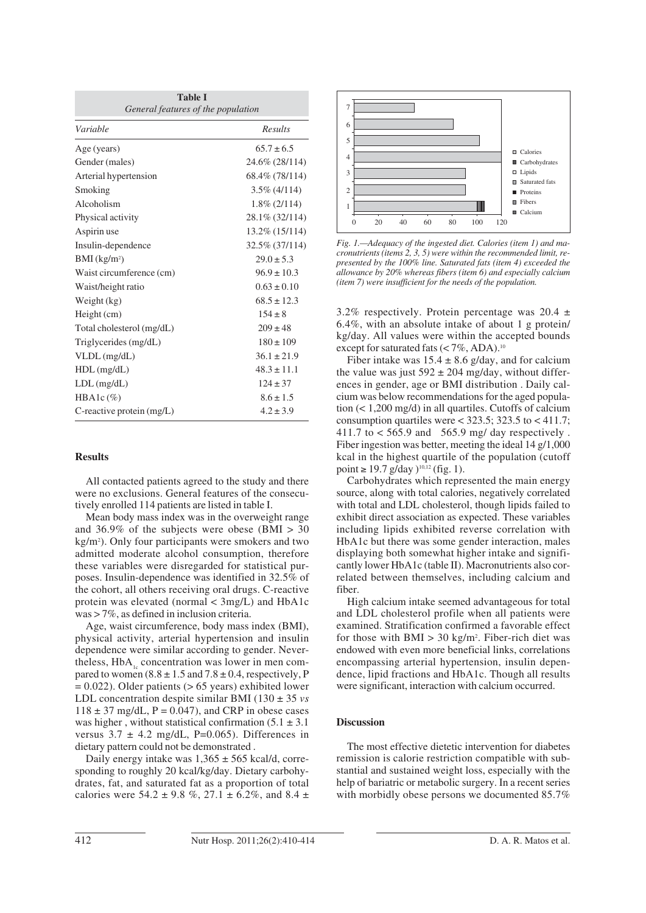| <b>Table I</b><br>General features of the population |                   |  |  |  |
|------------------------------------------------------|-------------------|--|--|--|
| Variable                                             | Results           |  |  |  |
| Age (years)                                          | $65.7 + 6.5$      |  |  |  |
| Gender (males)                                       | 24.6% (28/114)    |  |  |  |
| Arterial hypertension                                | 68.4\% (78/114)   |  |  |  |
| Smoking                                              | $3.5\%$ (4/114)   |  |  |  |
| Alcoholism                                           | $1.8\%$ (2/114)   |  |  |  |
| Physical activity                                    | 28.1\% (32/114)   |  |  |  |
| Aspirin use                                          | $13.2\%$ (15/114) |  |  |  |
| Insulin-dependence                                   | 32.5% (37/114)    |  |  |  |
| $BMI$ (kg/m <sup>2</sup> )                           | $29.0 \pm 5.3$    |  |  |  |
| Waist circumference (cm)                             | $96.9 \pm 10.3$   |  |  |  |
| Waist/height ratio                                   | $0.63 \pm 0.10$   |  |  |  |
| Weight (kg)                                          | $68.5 \pm 12.3$   |  |  |  |
| $Height$ (cm)                                        | $154 \pm 8$       |  |  |  |
| Total cholesterol (mg/dL)                            | $209 \pm 48$      |  |  |  |
| Triglycerides (mg/dL)                                | $180 \pm 109$     |  |  |  |
| $VLDL$ (mg/dL)                                       | $36.1 \pm 21.9$   |  |  |  |
| $HDL$ (mg/dL)                                        | $48.3 \pm 11.1$   |  |  |  |
| $LDL$ (mg/dL)                                        | $124 \pm 37$      |  |  |  |
| $HBA1c (\%)$                                         | $8.6 \pm 1.5$     |  |  |  |
| C-reactive protein $(mg/L)$                          | $4.2 \pm 3.9$     |  |  |  |

#### **Results**

All contacted patients agreed to the study and there were no exclusions. General features of the consecutively enrolled 114 patients are listed in table I.

Mean body mass index was in the overweight range and  $36.9\%$  of the subjects were obese (BMI  $> 30$ ) kg/m2 ). Only four participants were smokers and two admitted moderate alcohol consumption, therefore these variables were disregarded for statistical purposes. Insulin-dependence was identified in 32.5% of the cohort, all others receiving oral drugs. C-reactive protein was elevated (normal < 3mg/L) and HbA1c was > 7%, as defined in inclusion criteria.

Age, waist circumference, body mass index (BMI), physical activity, arterial hypertension and insulin dependence were similar according to gender. Nevertheless, HbA<sub>1</sub> concentration was lower in men compared to women  $(8.8 \pm 1.5 \text{ and } 7.8 \pm 0.4 \text{, respectively, P})$  $= 0.022$ ). Older patients ( $> 65$  years) exhibited lower LDL concentration despite similar BMI (130 ± 35 *vs*  $118 \pm 37$  mg/dL, P = 0.047), and CRP in obese cases was higher, without statistical confirmation  $(5.1 \pm 3.1)$ versus  $3.7 \pm 4.2$  mg/dL, P=0.065). Differences in dietary pattern could not be demonstrated .

Daily energy intake was  $1,365 \pm 565$  kcal/d, corresponding to roughly 20 kcal/kg/day. Dietary carbohydrates, fat, and saturated fat as a proportion of total calories were  $54.2 \pm 9.8$  %,  $27.1 \pm 6.2$ %, and  $8.4 \pm$ 



*Fig. 1.—Adequacy of the ingested diet. Calories (item 1) and macronutrients (items 2, 3, 5) were within the recommended limit, represented by the 100% line. Saturated fats (item 4) exceeded the allowance by 20% whereas fibers (item 6) and especially calcium (item 7) were insufficient for the needs of the population.*

3.2% respectively. Protein percentage was  $20.4 \pm$ 6.4%, with an absolute intake of about 1 g protein/ kg/day. All values were within the accepted bounds except for saturated fats (< 7%, ADA).<sup>10</sup>

Fiber intake was  $15.4 \pm 8.6$  g/day, and for calcium the value was just  $592 \pm 204$  mg/day, without differences in gender, age or BMI distribution . Daily calcium was below recommendations for the aged population (< 1,200 mg/d) in all quartiles. Cutoffs of calcium consumption quartiles were  $<$  323.5; 323.5 to  $<$  411.7; 411.7 to < 565.9 and 565.9 mg/ day respectively . Fiber ingestion was better, meeting the ideal 14 g/1,000 kcal in the highest quartile of the population (cutoff point  $\geq 19.7$  g/day  $)^{10,12}$  (fig. 1).

Carbohydrates which represented the main energy source, along with total calories, negatively correlated with total and LDL cholesterol, though lipids failed to exhibit direct association as expected. These variables including lipids exhibited reverse correlation with HbA1c but there was some gender interaction, males displaying both somewhat higher intake and significantly lower HbA1c (table II). Macronutrients also correlated between themselves, including calcium and fiber.

High calcium intake seemed advantageous for total and LDL cholesterol profile when all patients were examined. Stratification confirmed a favorable effect for those with  $BMI > 30$  kg/m<sup>2</sup>. Fiber-rich diet was endowed with even more beneficial links, correlations encompassing arterial hypertension, insulin dependence, lipid fractions and HbA1c. Though all results were significant, interaction with calcium occurred.

#### **Discussion**

The most effective dietetic intervention for diabetes remission is calorie restriction compatible with substantial and sustained weight loss, especially with the help of bariatric or metabolic surgery. In a recent series with morbidly obese persons we documented 85.7%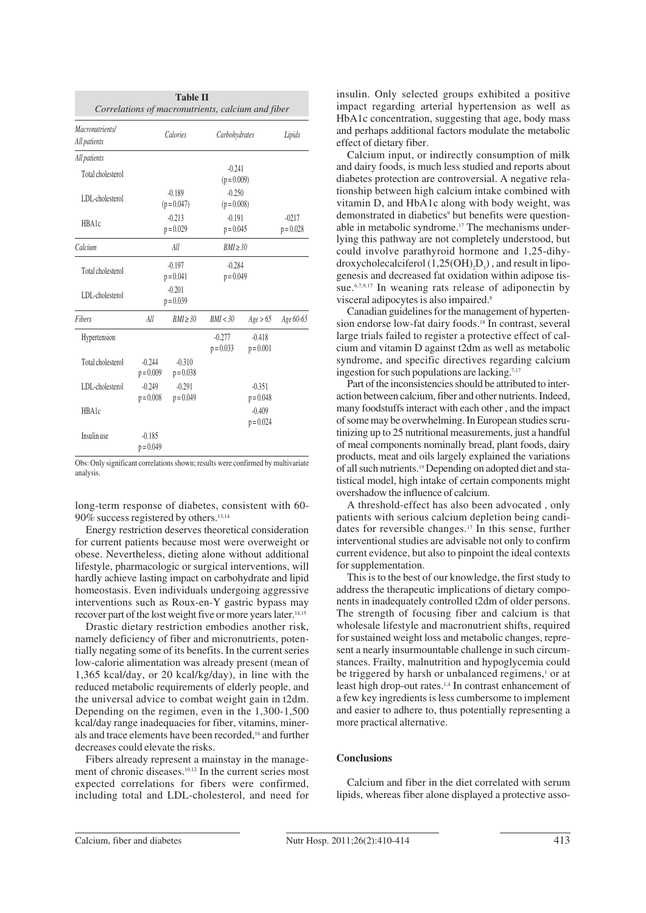|                                 |                           | <b>Table II</b>         | Correlations of macronutrients, calcium and fiber |                         |                        |
|---------------------------------|---------------------------|-------------------------|---------------------------------------------------|-------------------------|------------------------|
| Macronutrients/<br>All patients | Calories                  |                         | Carbohydrates                                     |                         | Lipids                 |
| All patients                    |                           |                         |                                                   |                         |                        |
| Total cholesterol               |                           |                         | $-0.241$<br>$(p = 0.009)$                         |                         |                        |
| LDL-cholesterol                 | $-0.189$<br>$(p = 0.047)$ |                         | $-0.250$<br>$(p = 0.008)$                         |                         |                        |
| <b>HBA1c</b>                    | $-0.213$<br>$p = 0.029$   |                         | $-0.191$<br>$p = 0.045$                           |                         | $-0217$<br>$p = 0.028$ |
| Calcium                         | All                       |                         | RMI > 30                                          |                         |                        |
| Total cholesterol               | $-0.197$<br>$p = 0.041$   |                         | $-0.284$<br>$p = 0.049$                           |                         |                        |
| LDL-cholesterol                 | $-0.201$<br>$p = 0.039$   |                         |                                                   |                         |                        |
| <b>Fibers</b>                   | All                       | $RMI \geq 30$           | BMI < 30                                          | Age > 65                | Age 60-65              |
| Hypertension                    |                           |                         | $-0.277$<br>$p = 0.033$                           | $-0.418$<br>$p = 0.001$ |                        |
| Total cholesterol               | $-0.244$<br>$p = 0.009$   | $-0.310$<br>$p = 0.038$ |                                                   |                         |                        |
| LDL-cholesterol                 | $-0.249$<br>$p = 0.008$   | $-0.291$<br>$p = 0.049$ |                                                   | $-0.351$<br>$p = 0.048$ |                        |
| <b>HBA1c</b>                    |                           |                         |                                                   | $-0.409$<br>$p = 0.024$ |                        |
| Insulin use                     | $-0.185$<br>$p = 0.049$   |                         |                                                   |                         |                        |

Obs: Only significant correlations shown; results were confirmed by multivariate analysis.

long-term response of diabetes, consistent with 60- 90% success registered by others.13,14

Energy restriction deserves theoretical consideration for current patients because most were overweight or obese. Nevertheless, dieting alone without additional lifestyle, pharmacologic or surgical interventions, will hardly achieve lasting impact on carbohydrate and lipid homeostasis. Even individuals undergoing aggressive interventions such as Roux-en-Y gastric bypass may recover part of the lost weight five or more years later.14,15

Drastic dietary restriction embodies another risk, namely deficiency of fiber and micronutrients, potentially negating some of its benefits. In the current series low-calorie alimentation was already present (mean of 1,365 kcal/day, or 20 kcal/kg/day), in line with the reduced metabolic requirements of elderly people, and the universal advice to combat weight gain in t2dm. Depending on the regimen, even in the 1,300-1,500 kcal/day range inadequacies for fiber, vitamins, minerals and trace elements have been recorded,16 and further decreases could elevate the risks.

Fibers already represent a mainstay in the management of chronic diseases.10,12 In the current series most expected correlations for fibers were confirmed, including total and LDL-cholesterol, and need for

insulin. Only selected groups exhibited a positive impact regarding arterial hypertension as well as HbA1c concentration, suggesting that age, body mass and perhaps additional factors modulate the metabolic effect of dietary fiber.

Calcium input, or indirectly consumption of milk and dairy foods, is much less studied and reports about diabetes protection are controversial. A negative relationship between high calcium intake combined with vitamin D, and HbA1c along with body weight, was demonstrated in diabetics<sup>9</sup> but benefits were questionable in metabolic syndrome.<sup>17</sup> The mechanisms underlying this pathway are not completely understood, but could involve parathyroid hormone and 1,25-dihydroxycholecalciferol  $(1,25(OH)_2D_3)$ , and result in lipogenesis and decreased fat oxidation within adipose tissue.<sup>6,7,9,17</sup> In weaning rats release of adiponectin by visceral adipocytes is also impaired.8

Canadian guidelines for the management of hypertension endorse low-fat dairy foods.18 In contrast, several large trials failed to register a protective effect of calcium and vitamin D against t2dm as well as metabolic syndrome, and specific directives regarding calcium ingestion for such populations are lacking.<sup>7,17</sup>

Part of the inconsistencies should be attributed to interaction between calcium, fiber and other nutrients. Indeed, many foodstuffs interact with each other , and the impact of some may be overwhelming. In European studies scrutinizing up to 25 nutritional measurements, just a handful of meal components nominally bread, plant foods, dairy products, meat and oils largely explained the variations of all such nutrients.19 Depending on adopted diet and statistical model, high intake of certain components might overshadow the influence of calcium.

A threshold-effect has also been advocated , only patients with serious calcium depletion being candidates for reversible changes.17 In this sense, further interventional studies are advisable not only to confirm current evidence, but also to pinpoint the ideal contexts for supplementation.

This is to the best of our knowledge, the first study to address the therapeutic implications of dietary components in inadequately controlled t2dm of older persons. The strength of focusing fiber and calcium is that wholesale lifestyle and macronutrient shifts, required for sustained weight loss and metabolic changes, represent a nearly insurmountable challenge in such circumstances. Frailty, malnutrition and hypoglycemia could be triggered by harsh or unbalanced regimens,<sup>1</sup> or at least high drop-out rates.1,4 In contrast enhancement of a few key ingredients is less cumbersome to implement and easier to adhere to, thus potentially representing a more practical alternative.

## **Conclusions**

Calcium and fiber in the diet correlated with serum lipids, whereas fiber alone displayed a protective asso